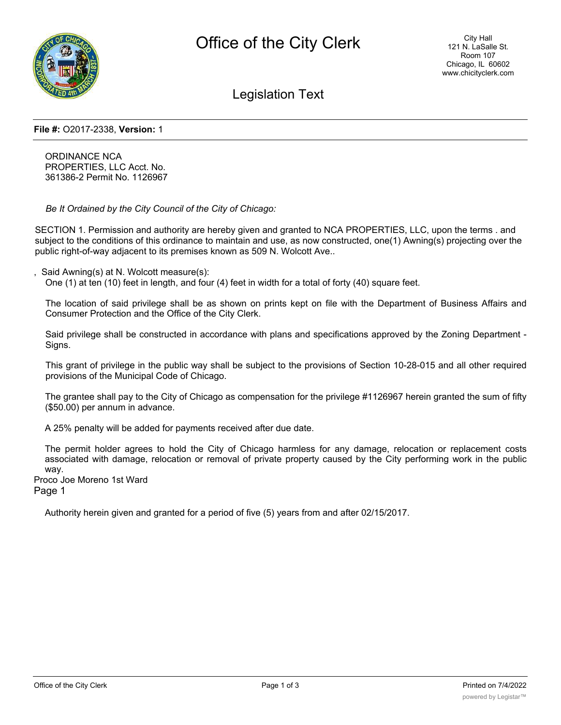

Legislation Text

## **File #:** O2017-2338, **Version:** 1

ORDINANCE NCA PROPERTIES, LLC Acct. No. 361386-2 Permit No. 1126967

*Be It Ordained by the City Council of the City of Chicago:*

SECTION 1. Permission and authority are hereby given and granted to NCA PROPERTIES, LLC, upon the terms . and subject to the conditions of this ordinance to maintain and use, as now constructed, one(1) Awning(s) projecting over the public right-of-way adjacent to its premises known as 509 N. Wolcott Ave..

Said Awning(s) at N. Wolcott measure(s):

One (1) at ten (10) feet in length, and four (4) feet in width for a total of forty (40) square feet.

The location of said privilege shall be as shown on prints kept on file with the Department of Business Affairs and Consumer Protection and the Office of the City Clerk.

Said privilege shall be constructed in accordance with plans and specifications approved by the Zoning Department - Signs.

This grant of privilege in the public way shall be subject to the provisions of Section 10-28-015 and all other required provisions of the Municipal Code of Chicago.

The grantee shall pay to the City of Chicago as compensation for the privilege #1126967 herein granted the sum of fifty (\$50.00) per annum in advance.

A 25% penalty will be added for payments received after due date.

The permit holder agrees to hold the City of Chicago harmless for any damage, relocation or replacement costs associated with damage, relocation or removal of private property caused by the City performing work in the public way.

Proco Joe Moreno 1st Ward

Page 1

Authority herein given and granted for a period of five (5) years from and after 02/15/2017.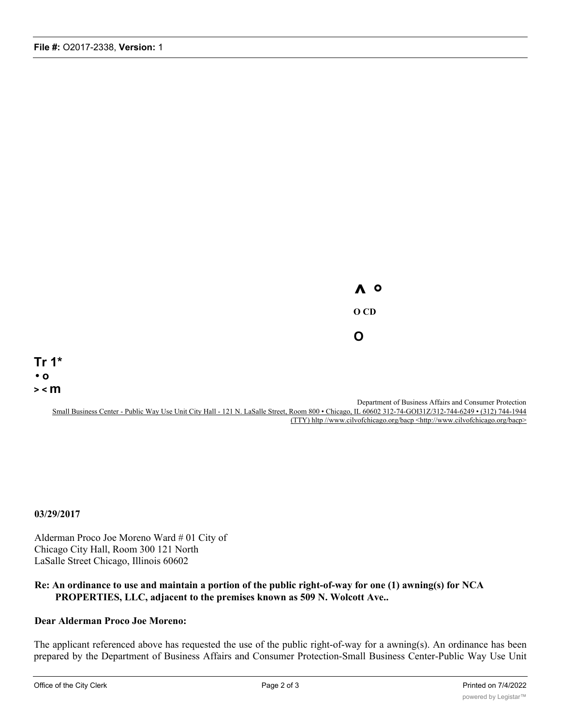**^ ° O CD O**

**Tr 1\* • o > < m**

> Department of Business Affairs and Consumer Protection Small Business Center - Public Way Use Unit City Hall - 121 N. LaSalle Street, Room 800 • Chicago, IL 60602 312-74-GOI31Z/312-744-6249 • (312) 744-1944 (TTY) hltp //www.cilvofchicago.org/bacp <http://www.cilvofchicago.org/bacp>

**03/29/2017**

Alderman Proco Joe Moreno Ward # 01 City of Chicago City Hall, Room 300 121 North LaSalle Street Chicago, Illinois 60602

## **Re: An ordinance to use and maintain a portion of the public right-of-way for one (1) awning(s) for NCA PROPERTIES, LLC, adjacent to the premises known as 509 N. Wolcott Ave..**

## **Dear Alderman Proco Joe Moreno:**

The applicant referenced above has requested the use of the public right-of-way for a awning(s). An ordinance has been prepared by the Department of Business Affairs and Consumer Protection-Small Business Center-Public Way Use Unit